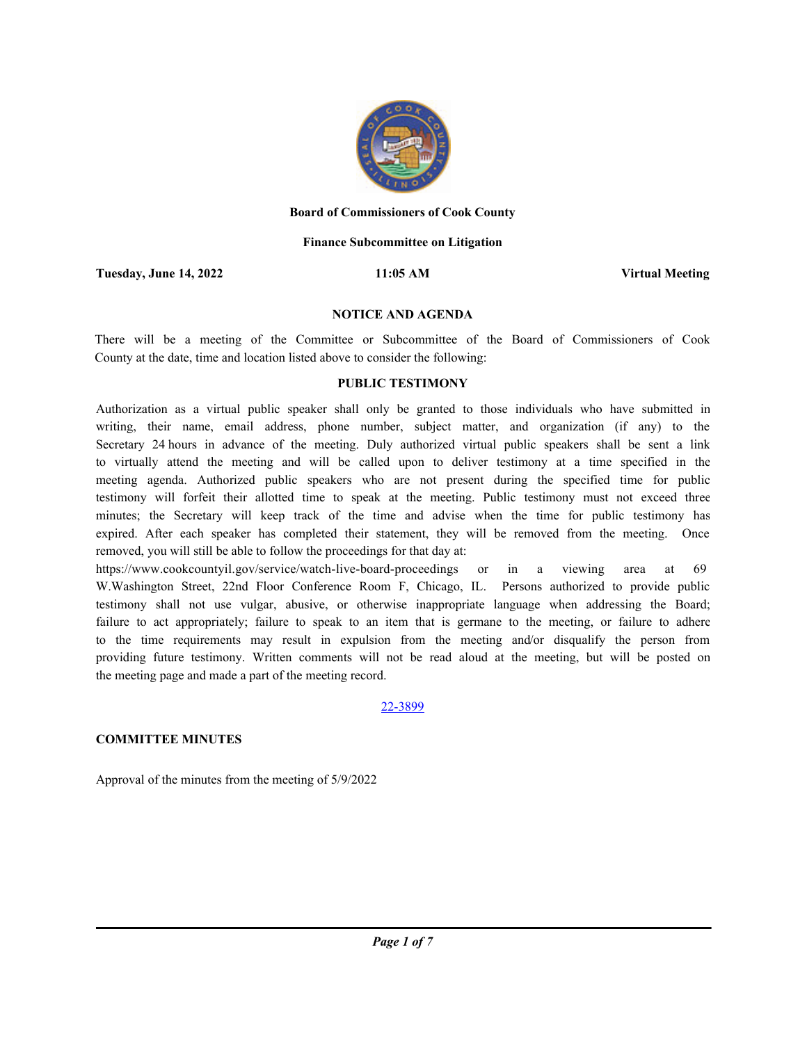

#### **Board of Commissioners of Cook County**

## **Finance Subcommittee on Litigation**

**Tuesday, June 14, 2022 11:05 AM Virtual Meeting**

#### **NOTICE AND AGENDA**

There will be a meeting of the Committee or Subcommittee of the Board of Commissioners of Cook County at the date, time and location listed above to consider the following:

## **PUBLIC TESTIMONY**

Authorization as a virtual public speaker shall only be granted to those individuals who have submitted in writing, their name, email address, phone number, subject matter, and organization (if any) to the Secretary 24 hours in advance of the meeting. Duly authorized virtual public speakers shall be sent a link to virtually attend the meeting and will be called upon to deliver testimony at a time specified in the meeting agenda. Authorized public speakers who are not present during the specified time for public testimony will forfeit their allotted time to speak at the meeting. Public testimony must not exceed three minutes; the Secretary will keep track of the time and advise when the time for public testimony has expired. After each speaker has completed their statement, they will be removed from the meeting. Once removed, you will still be able to follow the proceedings for that day at:

https://www.cookcountyil.gov/service/watch-live-board-proceedings or in a viewing area at 69 W.Washington Street, 22nd Floor Conference Room F, Chicago, IL. Persons authorized to provide public testimony shall not use vulgar, abusive, or otherwise inappropriate language when addressing the Board; failure to act appropriately; failure to speak to an item that is germane to the meeting, or failure to adhere to the time requirements may result in expulsion from the meeting and/or disqualify the person from providing future testimony. Written comments will not be read aloud at the meeting, but will be posted on the meeting page and made a part of the meeting record.

#### 22-3899

# **COMMITTEE MINUTES**

Approval of the minutes from the meeting of 5/9/2022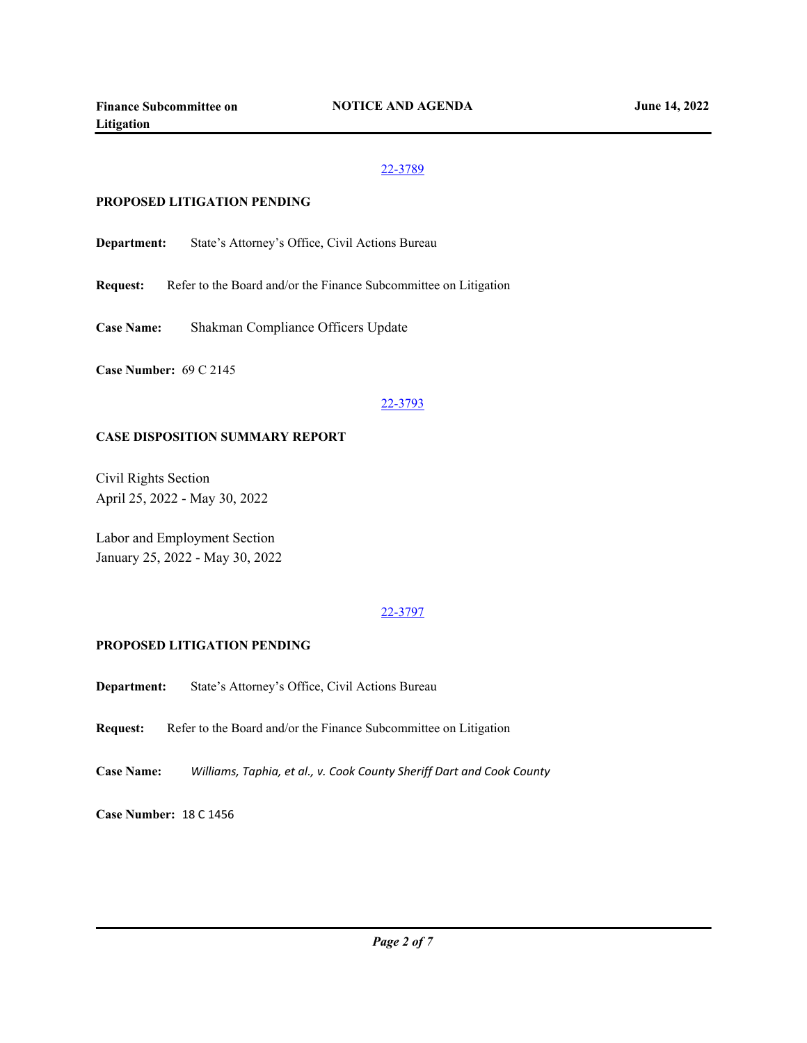## **PROPOSED LITIGATION PENDING**

**Department:** State's Attorney's Office, Civil Actions Bureau

**Request:** Refer to the Board and/or the Finance Subcommittee on Litigation

**Case Name:** Shakman Compliance Officers Update

**Case Number:** 69 C 2145

## 22-3793

#### **CASE DISPOSITION SUMMARY REPORT**

Civil Rights Section April 25, 2022 - May 30, 2022

Labor and Employment Section January 25, 2022 - May 30, 2022

# 22-3797

# **PROPOSED LITIGATION PENDING**

**Department:** State's Attorney's Office, Civil Actions Bureau

**Request:** Refer to the Board and/or the Finance Subcommittee on Litigation

**Case Name:** *Williams, Taphia, et al., v. Cook County Sheriff Dart and Cook County*

**Case Number:** 18 C 1456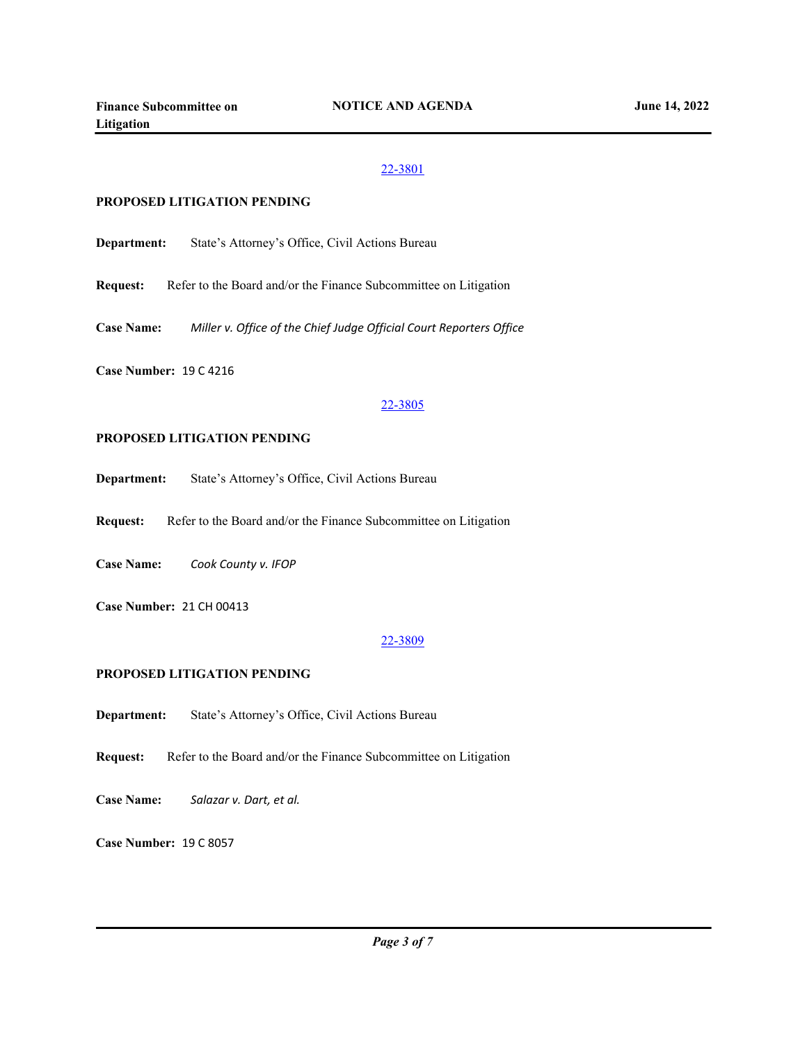#### **PROPOSED LITIGATION PENDING**

**Department:** State's Attorney's Office, Civil Actions Bureau

**Request:** Refer to the Board and/or the Finance Subcommittee on Litigation

**Case Name:** *Miller v. Office of the Chief Judge Official Court Reporters Office*

**Case Number:** 19 C 4216

## 22-3805

#### **PROPOSED LITIGATION PENDING**

**Department:** State's Attorney's Office, Civil Actions Bureau

**Request:** Refer to the Board and/or the Finance Subcommittee on Litigation

**Case Name:** *Cook County v. IFOP*

**Case Number:** 21 CH 00413

#### 22-3809

## **PROPOSED LITIGATION PENDING**

**Department:** State's Attorney's Office, Civil Actions Bureau

**Request:** Refer to the Board and/or the Finance Subcommittee on Litigation

**Case Name:** *Salazar v. Dart, et al.*

**Case Number:** 19 C 8057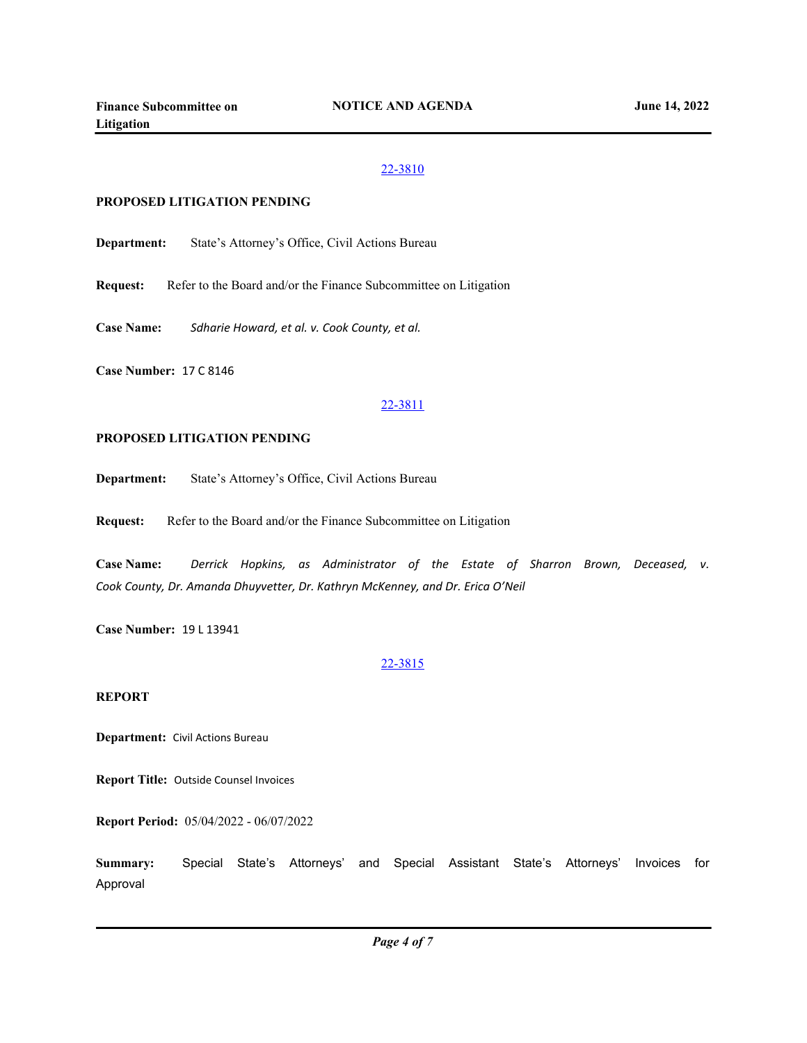## **PROPOSED LITIGATION PENDING**

**Department:** State's Attorney's Office, Civil Actions Bureau

**Request:** Refer to the Board and/or the Finance Subcommittee on Litigation

**Case Name:** *Sdharie Howard, et al. v. Cook County, et al.*

**Case Number:** 17 C 8146

## 22-3811

#### **PROPOSED LITIGATION PENDING**

**Department:** State's Attorney's Office, Civil Actions Bureau

**Request:** Refer to the Board and/or the Finance Subcommittee on Litigation

**Case Name:** *Derrick Hopkins, as Administrator of the Estate of Sharron Brown, Deceased, v. Cook County, Dr. Amanda Dhuyvetter, Dr. Kathryn McKenney, and Dr. Erica O'Neil*

**Case Number:** 19 L 13941

#### 22-3815

# **REPORT**

**Department:** Civil Actions Bureau

**Report Title:** Outside Counsel Invoices

**Report Period:** 05/04/2022 - 06/07/2022

**Summary:** Special State's Attorneys' and Special Assistant State's Attorneys' Invoices for Approval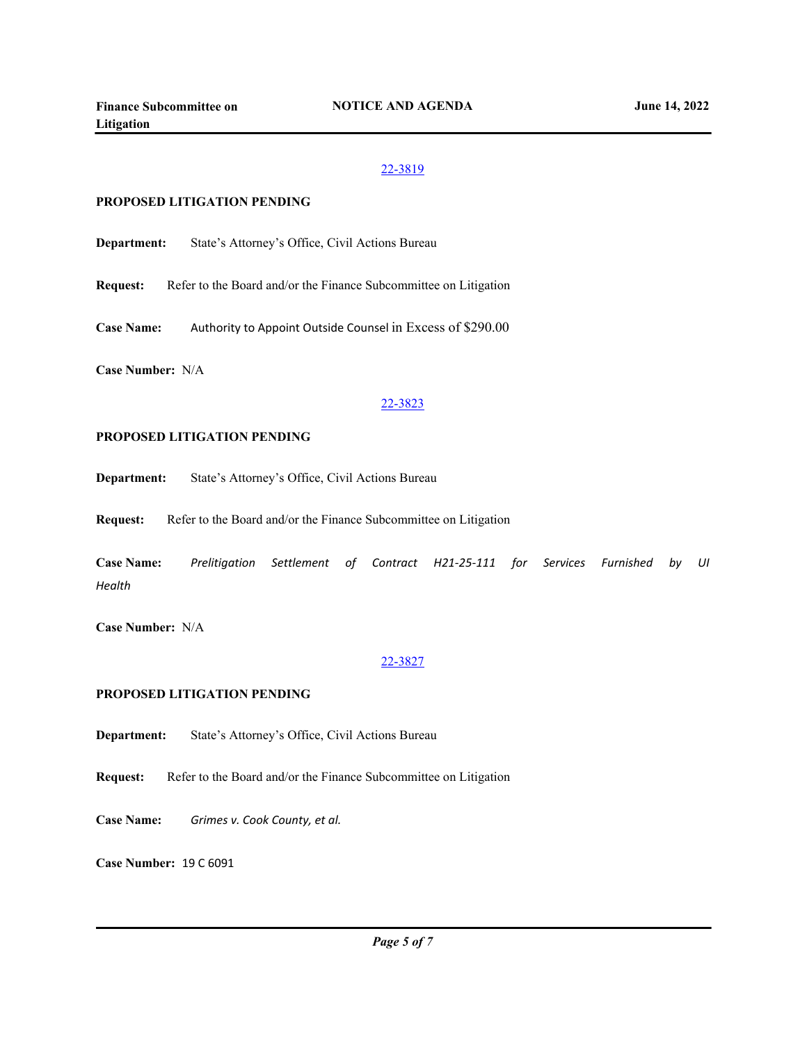#### **PROPOSED LITIGATION PENDING**

**Department:** State's Attorney's Office, Civil Actions Bureau

**Request:** Refer to the Board and/or the Finance Subcommittee on Litigation

**Case Name:** Authority to Appoint Outside Counsel in Excess of \$290.00

**Case Number:** N/A

#### 22-3823

#### **PROPOSED LITIGATION PENDING**

**Department:** State's Attorney's Office, Civil Actions Bureau

**Request:** Refer to the Board and/or the Finance Subcommittee on Litigation

**Case Name:** *Prelitigation Settlement of Contract H21-25-111 for Services Furnished by UI Health*

**Case Number:** N/A

#### 22-3827

### **PROPOSED LITIGATION PENDING**

**Department:** State's Attorney's Office, Civil Actions Bureau

- **Request:** Refer to the Board and/or the Finance Subcommittee on Litigation
- **Case Name:** *Grimes v. Cook County, et al.*

**Case Number:** 19 C 6091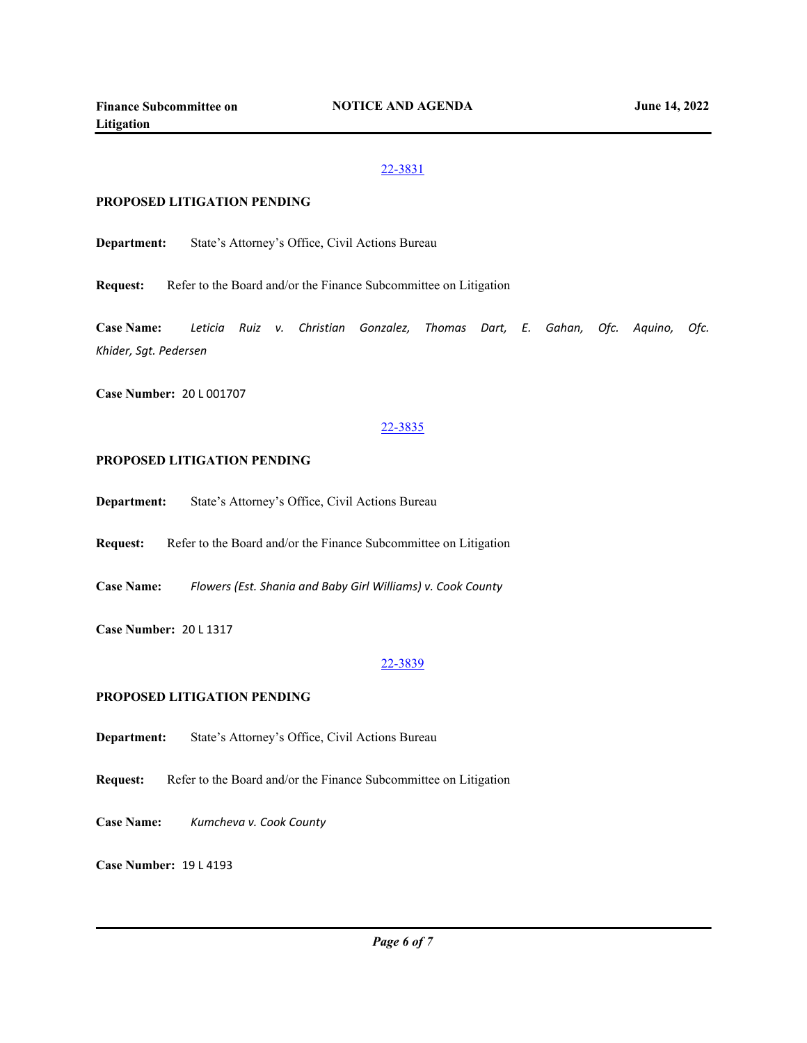## **PROPOSED LITIGATION PENDING**

**Department:** State's Attorney's Office, Civil Actions Bureau

**Request:** Refer to the Board and/or the Finance Subcommittee on Litigation

**Case Name:** *Leticia Ruiz v. Christian Gonzalez, Thomas Dart, E. Gahan, Ofc. Aquino, Ofc. Khider, Sgt. Pedersen*

**Case Number:** 20 L 001707

#### 22-3835

## **PROPOSED LITIGATION PENDING**

**Department:** State's Attorney's Office, Civil Actions Bureau

**Request:** Refer to the Board and/or the Finance Subcommittee on Litigation

**Case Name:** *Flowers (Est. Shania and Baby Girl Williams) v. Cook County*

**Case Number:** 20 L 1317

#### 22-3839

# **PROPOSED LITIGATION PENDING**

**Department:** State's Attorney's Office, Civil Actions Bureau

**Request:** Refer to the Board and/or the Finance Subcommittee on Litigation

**Case Name:** *Kumcheva v. Cook County*

**Case Number:** 19 L 4193